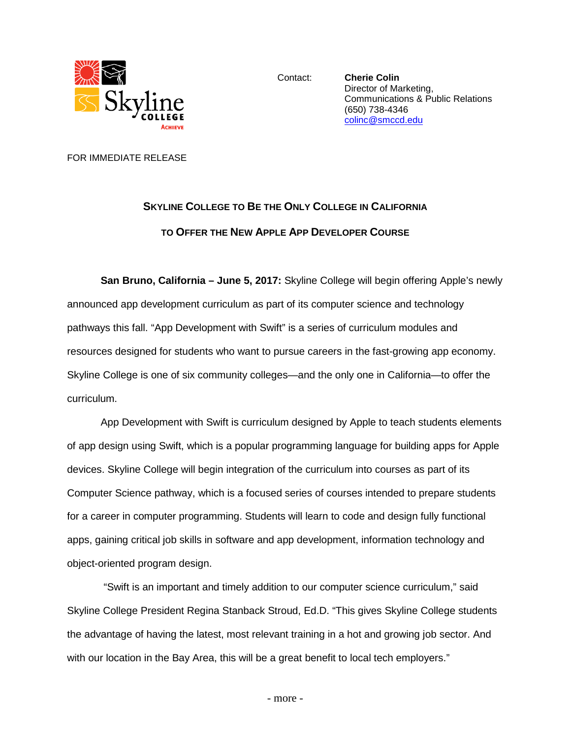

Contact: **Cherie Colin** Director of Marketing, Communications & Public Relations (650) 738-4346 [colinc@smccd.edu](mailto:colinc@smccd.edu)

FOR IMMEDIATE RELEASE

## **SKYLINE COLLEGE TO BE THE ONLY COLLEGE IN CALIFORNIA TO OFFER THE NEW APPLE APP DEVELOPER COURSE**

**San Bruno, California – June 5, 2017:** Skyline College will begin offering Apple's newly announced app development curriculum as part of its computer science and technology pathways this fall. "App Development with Swift" is a series of curriculum modules and resources designed for students who want to pursue careers in the fast-growing app economy. Skyline College is one of six community colleges—and the only one in California—to offer the curriculum.

App Development with Swift is curriculum designed by Apple to teach students elements of app design using Swift, which is a popular programming language for building apps for Apple devices. Skyline College will begin integration of the curriculum into courses as part of its Computer Science pathway, which is a focused series of courses intended to prepare students for a career in computer programming. Students will learn to code and design fully functional apps, gaining critical job skills in software and app development, information technology and object-oriented program design.

"Swift is an important and timely addition to our computer science curriculum," said Skyline College President Regina Stanback Stroud, Ed.D. "This gives Skyline College students the advantage of having the latest, most relevant training in a hot and growing job sector. And with our location in the Bay Area, this will be a great benefit to local tech employers."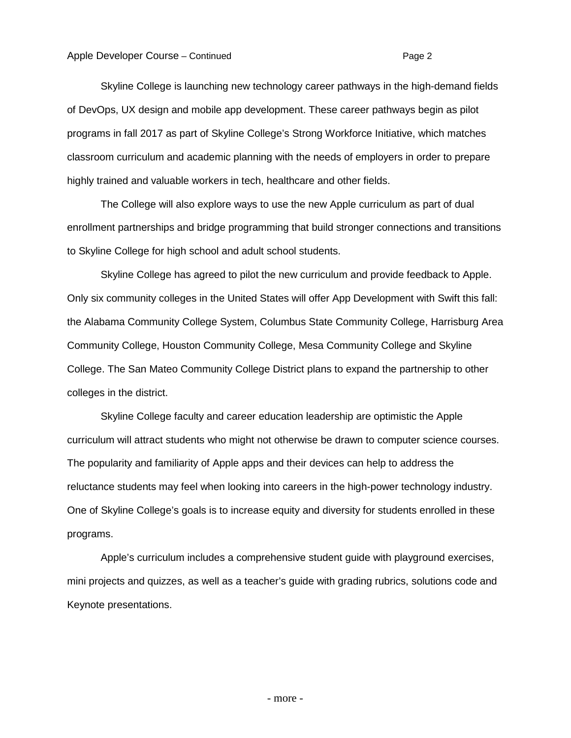Skyline College is launching new technology career pathways in the high-demand fields of DevOps, UX design and mobile app development. These career pathways begin as pilot programs in fall 2017 as part of Skyline College's Strong Workforce Initiative, which matches classroom curriculum and academic planning with the needs of employers in order to prepare highly trained and valuable workers in tech, healthcare and other fields.

The College will also explore ways to use the new Apple curriculum as part of dual enrollment partnerships and bridge programming that build stronger connections and transitions to Skyline College for high school and adult school students.

Skyline College has agreed to pilot the new curriculum and provide feedback to Apple. Only six community colleges in the United States will offer App Development with Swift this fall: the Alabama Community College System, Columbus State Community College, Harrisburg Area Community College, Houston Community College, Mesa Community College and Skyline College. The San Mateo Community College District plans to expand the partnership to other colleges in the district.

Skyline College faculty and career education leadership are optimistic the Apple curriculum will attract students who might not otherwise be drawn to computer science courses. The popularity and familiarity of Apple apps and their devices can help to address the reluctance students may feel when looking into careers in the high-power technology industry. One of Skyline College's goals is to increase equity and diversity for students enrolled in these programs.

Apple's curriculum includes a comprehensive student guide with playground exercises, mini projects and quizzes, as well as a teacher's guide with grading rubrics, solutions code and Keynote presentations.